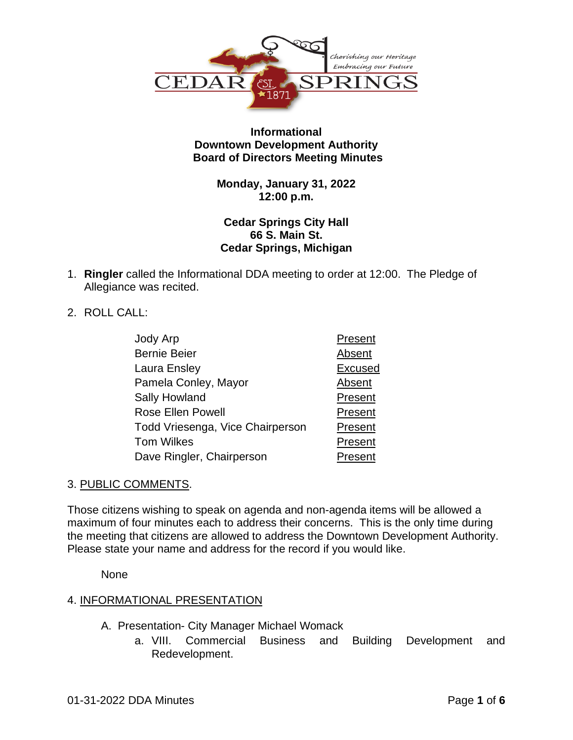

## **Informational Downtown Development Authority Board of Directors Meeting Minutes**

## **Monday, January 31, 2022 12:00 p.m.**

## **Cedar Springs City Hall 66 S. Main St. Cedar Springs, Michigan**

- 1. **Ringler** called the Informational DDA meeting to order at 12:00. The Pledge of Allegiance was recited.
- 2. ROLL CALL:

| Jody Arp                         | Present        |
|----------------------------------|----------------|
| <b>Bernie Beier</b>              | Absent         |
| Laura Ensley                     | <b>Excused</b> |
| Pamela Conley, Mayor             | Absent         |
| Sally Howland                    | Present        |
| Rose Ellen Powell                | Present        |
| Todd Vriesenga, Vice Chairperson | Present        |
| <b>Tom Wilkes</b>                | Present        |
| Dave Ringler, Chairperson        | Present        |

# 3. PUBLIC COMMENTS.

Those citizens wishing to speak on agenda and non-agenda items will be allowed a maximum of four minutes each to address their concerns. This is the only time during the meeting that citizens are allowed to address the Downtown Development Authority. Please state your name and address for the record if you would like.

None

# 4. INFORMATIONAL PRESENTATION

- A. Presentation- City Manager Michael Womack
	- a. VIII. Commercial Business and Building Development and Redevelopment.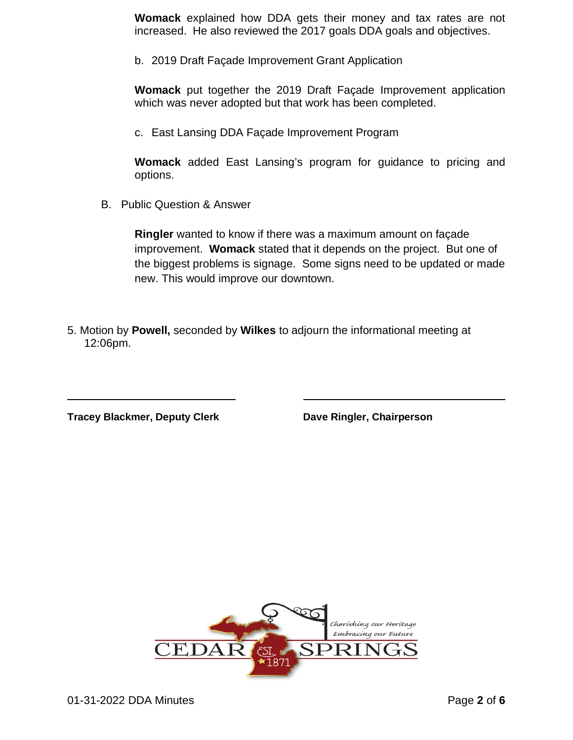**Womack** explained how DDA gets their money and tax rates are not increased. He also reviewed the 2017 goals DDA goals and objectives.

b. 2019 Draft Façade Improvement Grant Application

**Womack** put together the 2019 Draft Façade Improvement application which was never adopted but that work has been completed.

c. East Lansing DDA Façade Improvement Program

**Womack** added East Lansing's program for guidance to pricing and options.

B. Public Question & Answer

**Ringler** wanted to know if there was a maximum amount on façade improvement. **Womack** stated that it depends on the project. But one of the biggest problems is signage. Some signs need to be updated or made new. This would improve our downtown.

5. Motion by **Powell,** seconded by **Wilkes** to adjourn the informational meeting at 12:06pm.

**Tracey Blackmer, Deputy Clerk Dave Ringler, Chairperson**

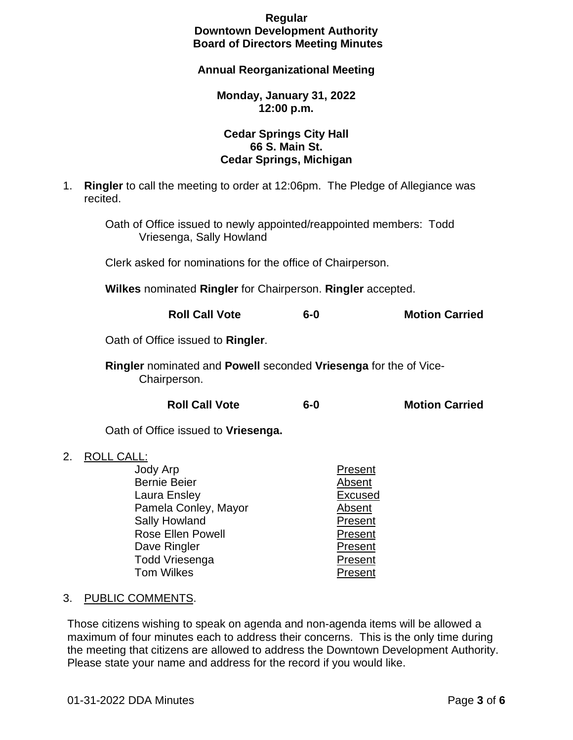## **Regular Downtown Development Authority Board of Directors Meeting Minutes**

### **Annual Reorganizational Meeting**

#### **Monday, January 31, 2022 12:00 p.m.**

## **Cedar Springs City Hall 66 S. Main St. Cedar Springs, Michigan**

1. **Ringler** to call the meeting to order at 12:06pm. The Pledge of Allegiance was recited.

Oath of Office issued to newly appointed/reappointed members: Todd Vriesenga, Sally Howland

Clerk asked for nominations for the office of Chairperson.

**Wilkes** nominated **Ringler** for Chairperson. **Ringler** accepted.

**Roll Call Vote 6-0 Motion Carried**

Oath of Office issued to **Ringler**.

**Ringler** nominated and **Powell** seconded **Vriesenga** for the of Vice-Chairperson.

**Roll Call Vote 6-0 Motion Carried**

Oath of Office issued to **Vriesenga.**

2. ROLL CALL:

| Jody Arp                 | Present        |
|--------------------------|----------------|
| <b>Bernie Beier</b>      | Absent         |
| Laura Ensley             | <b>Excused</b> |
| Pamela Conley, Mayor     | Absent         |
| Sally Howland            | Present        |
| <b>Rose Ellen Powell</b> | Present        |
| Dave Ringler             | Present        |
| <b>Todd Vriesenga</b>    | Present        |
| <b>Tom Wilkes</b>        | Present        |

#### 3. PUBLIC COMMENTS.

Those citizens wishing to speak on agenda and non-agenda items will be allowed a maximum of four minutes each to address their concerns. This is the only time during the meeting that citizens are allowed to address the Downtown Development Authority. Please state your name and address for the record if you would like.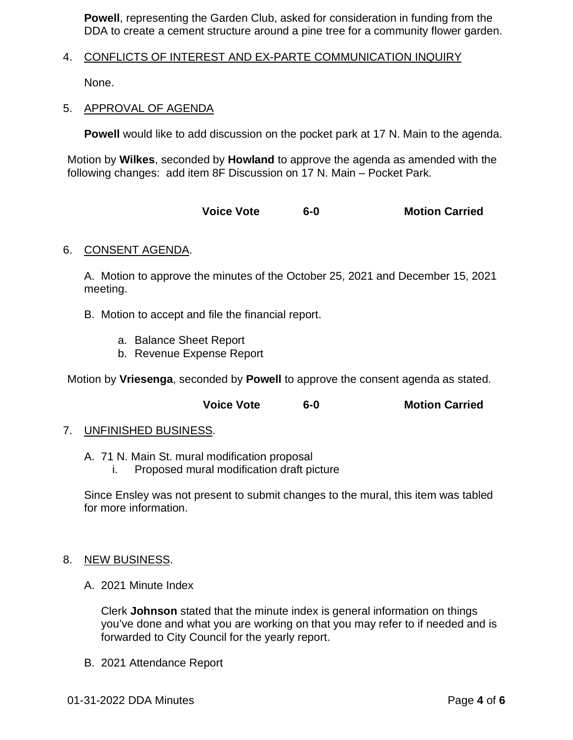**Powell**, representing the Garden Club, asked for consideration in funding from the DDA to create a cement structure around a pine tree for a community flower garden.

### 4. CONFLICTS OF INTEREST AND EX-PARTE COMMUNICATION INQUIRY

None.

#### 5. APPROVAL OF AGENDA

**Powell** would like to add discussion on the pocket park at 17 N. Main to the agenda.

Motion by **Wilkes**, seconded by **Howland** to approve the agenda as amended with the following changes: add item 8F Discussion on 17 N. Main – Pocket Park.

**Voice Vote 6-0 Motion Carried**

### 6. CONSENT AGENDA.

A. Motion to approve the minutes of the October 25, 2021 and December 15, 2021 meeting.

- B. Motion to accept and file the financial report.
	- a. Balance Sheet Report
	- b. Revenue Expense Report

Motion by **Vriesenga**, seconded by **Powell** to approve the consent agenda as stated.

**Voice Vote 6-0 Motion Carried**

#### 7. UNFINISHED BUSINESS.

- A. 71 N. Main St. mural modification proposal
	- i. Proposed mural modification draft picture

Since Ensley was not present to submit changes to the mural, this item was tabled for more information.

#### 8. NEW BUSINESS.

A. 2021 Minute Index

Clerk **Johnson** stated that the minute index is general information on things you've done and what you are working on that you may refer to if needed and is forwarded to City Council for the yearly report.

B. 2021 Attendance Report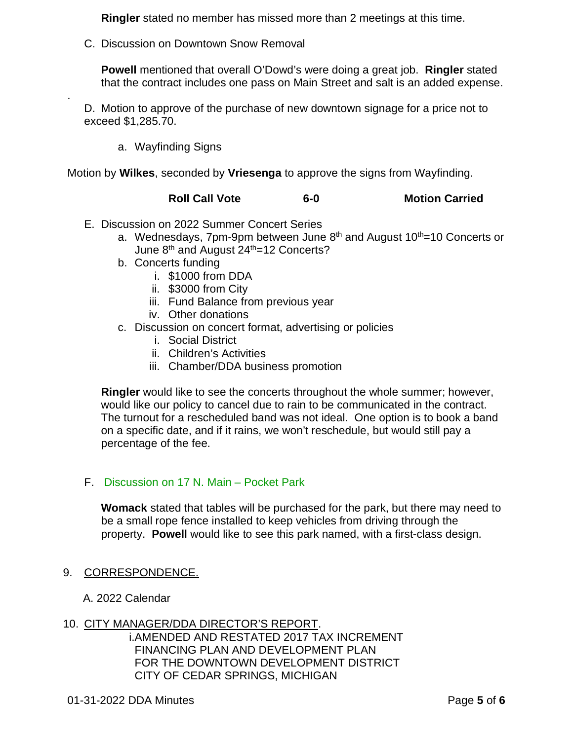**Ringler** stated no member has missed more than 2 meetings at this time.

C. Discussion on Downtown Snow Removal

**Powell** mentioned that overall O'Dowd's were doing a great job. **Ringler** stated that the contract includes one pass on Main Street and salt is an added expense.

D. Motion to approve of the purchase of new downtown signage for a price not to exceed \$1,285.70.

a. Wayfinding Signs

.

Motion by **Wilkes**, seconded by **Vriesenga** to approve the signs from Wayfinding.

## **Roll Call Vote 6-0 Motion Carried**

- E. Discussion on 2022 Summer Concert Series
	- a. Wednesdays, 7pm-9pm between June  $8<sup>th</sup>$  and August 10<sup>th</sup>=10 Concerts or June  $8<sup>th</sup>$  and August  $24<sup>th</sup>=12$  Concerts?
	- b. Concerts funding
		- i. \$1000 from DDA
		- ii. \$3000 from City
		- iii. Fund Balance from previous year
		- iv. Other donations
	- c. Discussion on concert format, advertising or policies
		- i. Social District
		- ii. Children's Activities
		- iii. Chamber/DDA business promotion

**Ringler** would like to see the concerts throughout the whole summer; however, would like our policy to cancel due to rain to be communicated in the contract. The turnout for a rescheduled band was not ideal. One option is to book a band on a specific date, and if it rains, we won't reschedule, but would still pay a percentage of the fee.

#### F. Discussion on 17 N. Main – Pocket Park

**Womack** stated that tables will be purchased for the park, but there may need to be a small rope fence installed to keep vehicles from driving through the property. **Powell** would like to see this park named, with a first-class design.

#### 9. CORRESPONDENCE.

A. 2022 Calendar

## 10. CITY MANAGER/DDA DIRECTOR'S REPORT.

i.AMENDED AND RESTATED 2017 TAX INCREMENT FINANCING PLAN AND DEVELOPMENT PLAN FOR THE DOWNTOWN DEVELOPMENT DISTRICT CITY OF CEDAR SPRINGS, MICHIGAN